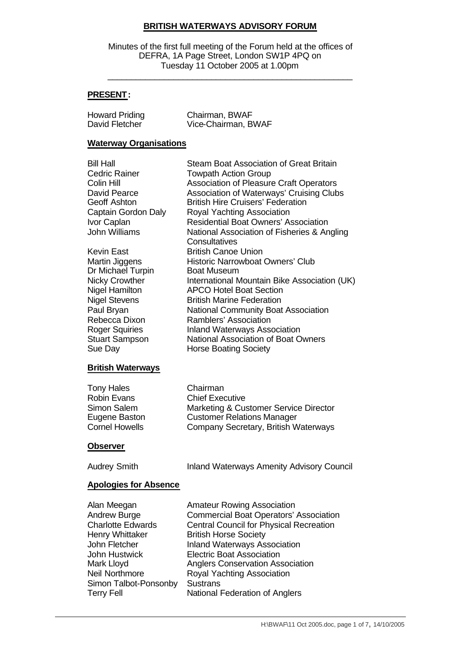## **BRITISH WATERWAYS ADVISORY FORUM**

Minutes of the first full meeting of the Forum held at the offices of DEFRA, 1A Page Street, London SW1P 4PQ on Tuesday 11 October 2005 at 1.00pm

\_\_\_\_\_\_\_\_\_\_\_\_\_\_\_\_\_\_\_\_\_\_\_\_\_\_\_\_\_\_\_\_\_\_\_\_\_\_\_\_\_\_\_\_\_\_\_\_\_\_\_\_

## **PRESENT:**

| <b>Howard Priding</b> | Chairman, BWAF      |
|-----------------------|---------------------|
| David Fletcher        | Vice-Chairman, BWAF |

#### **Waterway Organisations**

| Bill Hall             | Steam Boat Association of Great Britain        |
|-----------------------|------------------------------------------------|
| Cedric Rainer         | <b>Towpath Action Group</b>                    |
| Colin Hill            | <b>Association of Pleasure Craft Operators</b> |
| David Pearce          | Association of Waterways' Cruising Clubs       |
| Geoff Ashton          | <b>British Hire Cruisers' Federation</b>       |
| Captain Gordon Daly   | Royal Yachting Association                     |
| Ivor Caplan           | <b>Residential Boat Owners' Association</b>    |
| John Williams         | National Association of Fisheries & Angling    |
|                       | Consultatives                                  |
| Kevin East            | <b>British Canoe Union</b>                     |
| Martin Jiggens        | Historic Narrowboat Owners' Club               |
| Dr Michael Turpin     | <b>Boat Museum</b>                             |
| <b>Nicky Crowther</b> | International Mountain Bike Association (UK)   |
| Nigel Hamilton        | <b>APCO Hotel Boat Section</b>                 |
| <b>Nigel Stevens</b>  | <b>British Marine Federation</b>               |
| Paul Bryan            | <b>National Community Boat Association</b>     |
| Rebecca Dixon         | Ramblers' Association                          |
| <b>Roger Squiries</b> | <b>Inland Waterways Association</b>            |
| <b>Stuart Sampson</b> | <b>National Association of Boat Owners</b>     |
| Sue Day               | <b>Horse Boating Society</b>                   |
|                       |                                                |

# **British Waterways**

| <b>Tony Hales</b>     | Chairman                              |
|-----------------------|---------------------------------------|
| <b>Robin Evans</b>    | <b>Chief Executive</b>                |
| Simon Salem           | Marketing & Customer Service Director |
| Eugene Baston         | <b>Customer Relations Manager</b>     |
| <b>Cornel Howells</b> | Company Secretary, British Waterways  |

#### **Observer**

| Audrey Smith | Inland Waterways Amenity Advisory Council |  |
|--------------|-------------------------------------------|--|
|              |                                           |  |

#### **Apologies for Absence**

| Alan Meegan              | <b>Amateur Rowing Association</b>              |
|--------------------------|------------------------------------------------|
|                          |                                                |
| <b>Andrew Burge</b>      | <b>Commercial Boat Operators' Association</b>  |
| <b>Charlotte Edwards</b> | <b>Central Council for Physical Recreation</b> |
| <b>Henry Whittaker</b>   | <b>British Horse Society</b>                   |
| John Fletcher            | <b>Inland Waterways Association</b>            |
| John Hustwick            | <b>Electric Boat Association</b>               |
| Mark Lloyd               | <b>Anglers Conservation Association</b>        |
| Neil Northmore           | Royal Yachting Association                     |
| Simon Talbot-Ponsonby    | <b>Sustrans</b>                                |
| <b>Terry Fell</b>        | National Federation of Anglers                 |
|                          |                                                |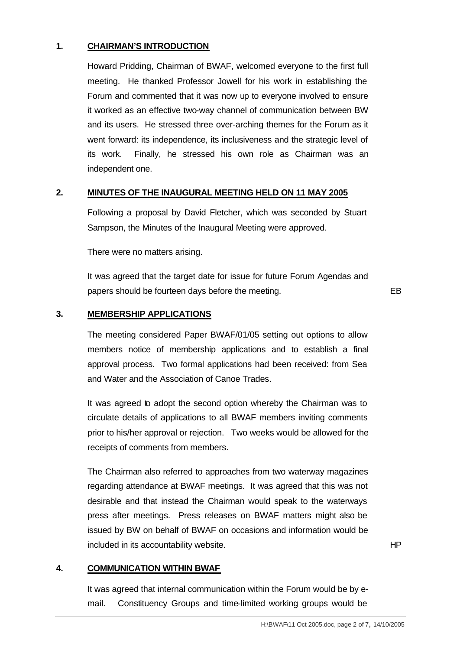## **1. CHAIRMAN'S INTRODUCTION**

Howard Pridding, Chairman of BWAF, welcomed everyone to the first full meeting. He thanked Professor Jowell for his work in establishing the Forum and commented that it was now up to everyone involved to ensure it worked as an effective two-way channel of communication between BW and its users. He stressed three over-arching themes for the Forum as it went forward: its independence, its inclusiveness and the strategic level of its work. Finally, he stressed his own role as Chairman was an independent one.

#### **2. MINUTES OF THE INAUGURAL MEETING HELD ON 11 MAY 2005**

Following a proposal by David Fletcher, which was seconded by Stuart Sampson, the Minutes of the Inaugural Meeting were approved.

There were no matters arising.

It was agreed that the target date for issue for future Forum Agendas and papers should be fourteen days before the meeting. The meeting example of the meeting example of the EB

#### **3. MEMBERSHIP APPLICATIONS**

The meeting considered Paper BWAF/01/05 setting out options to allow members notice of membership applications and to establish a final approval process. Two formal applications had been received: from Sea and Water and the Association of Canoe Trades.

It was agreed to adopt the second option whereby the Chairman was to circulate details of applications to all BWAF members inviting comments prior to his/her approval or rejection. Two weeks would be allowed for the receipts of comments from members.

The Chairman also referred to approaches from two waterway magazines regarding attendance at BWAF meetings. It was agreed that this was not desirable and that instead the Chairman would speak to the waterways press after meetings. Press releases on BWAF matters might also be issued by BW on behalf of BWAF on occasions and information would be included in its accountability website.

#### **4. COMMUNICATION WITHIN BWAF**

It was agreed that internal communication within the Forum would be by email. Constituency Groups and time-limited working groups would be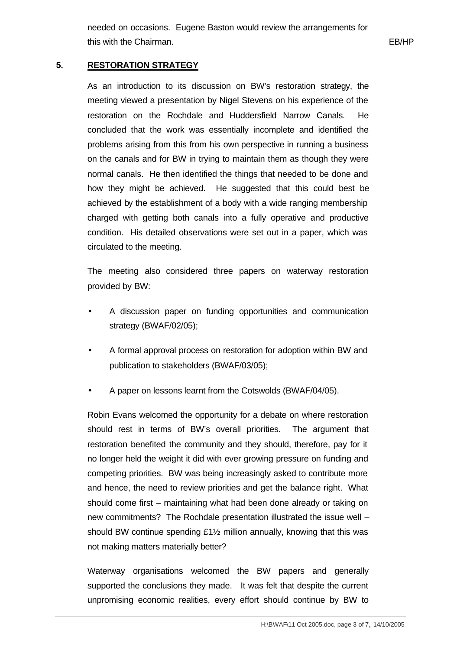needed on occasions. Eugene Baston would review the arrangements for this with the Chairman. **EB/HP** and the Chairman of the Chairman of the Chairman of the Chairman of the Chairman of the Chairman of the Chairman of the Chairman of the Chairman of the Chairman of the Chairman of the Chairm

## **5. RESTORATION STRATEGY**

As an introduction to its discussion on BW's restoration strategy, the meeting viewed a presentation by Nigel Stevens on his experience of the restoration on the Rochdale and Huddersfield Narrow Canals. He concluded that the work was essentially incomplete and identified the problems arising from this from his own perspective in running a business on the canals and for BW in trying to maintain them as though they were normal canals. He then identified the things that needed to be done and how they might be achieved. He suggested that this could best be achieved by the establishment of a body with a wide ranging membership charged with getting both canals into a fully operative and productive condition. His detailed observations were set out in a paper, which was circulated to the meeting.

The meeting also considered three papers on waterway restoration provided by BW:

- A discussion paper on funding opportunities and communication strategy (BWAF/02/05);
- A formal approval process on restoration for adoption within BW and publication to stakeholders (BWAF/03/05);
- A paper on lessons learnt from the Cotswolds (BWAF/04/05).

Robin Evans welcomed the opportunity for a debate on where restoration should rest in terms of BW's overall priorities. The argument that restoration benefited the community and they should, therefore, pay for it no longer held the weight it did with ever growing pressure on funding and competing priorities. BW was being increasingly asked to contribute more and hence, the need to review priorities and get the balance right. What should come first – maintaining what had been done already or taking on new commitments? The Rochdale presentation illustrated the issue well – should BW continue spending £1½ million annually, knowing that this was not making matters materially better?

Waterway organisations welcomed the BW papers and generally supported the conclusions they made. It was felt that despite the current unpromising economic realities, every effort should continue by BW to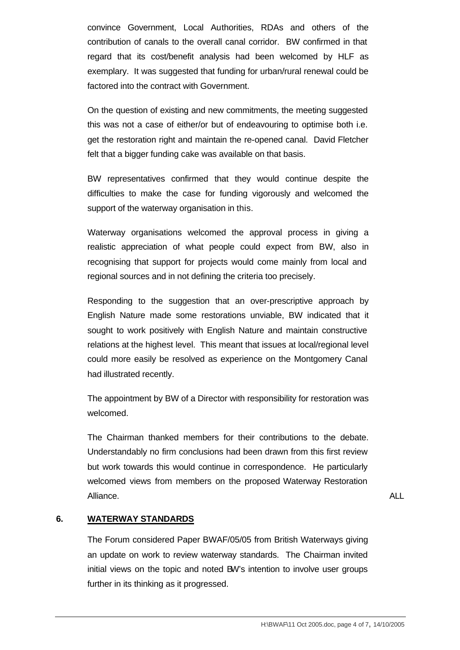convince Government, Local Authorities, RDAs and others of the contribution of canals to the overall canal corridor. BW confirmed in that regard that its cost/benefit analysis had been welcomed by HLF as exemplary. It was suggested that funding for urban/rural renewal could be factored into the contract with Government.

On the question of existing and new commitments, the meeting suggested this was not a case of either/or but of endeavouring to optimise both i.e. get the restoration right and maintain the re-opened canal. David Fletcher felt that a bigger funding cake was available on that basis.

BW representatives confirmed that they would continue despite the difficulties to make the case for funding vigorously and welcomed the support of the waterway organisation in this.

Waterway organisations welcomed the approval process in giving a realistic appreciation of what people could expect from BW, also in recognising that support for projects would come mainly from local and regional sources and in not defining the criteria too precisely.

Responding to the suggestion that an over-prescriptive approach by English Nature made some restorations unviable, BW indicated that it sought to work positively with English Nature and maintain constructive relations at the highest level. This meant that issues at local/regional level could more easily be resolved as experience on the Montgomery Canal had illustrated recently.

The appointment by BW of a Director with responsibility for restoration was welcomed.

The Chairman thanked members for their contributions to the debate. Understandably no firm conclusions had been drawn from this first review but work towards this would continue in correspondence. He particularly welcomed views from members on the proposed Waterway Restoration Alliance. ALL

#### **6. WATERWAY STANDARDS**

The Forum considered Paper BWAF/05/05 from British Waterways giving an update on work to review waterway standards. The Chairman invited initial views on the topic and noted BW's intention to involve user groups further in its thinking as it progressed.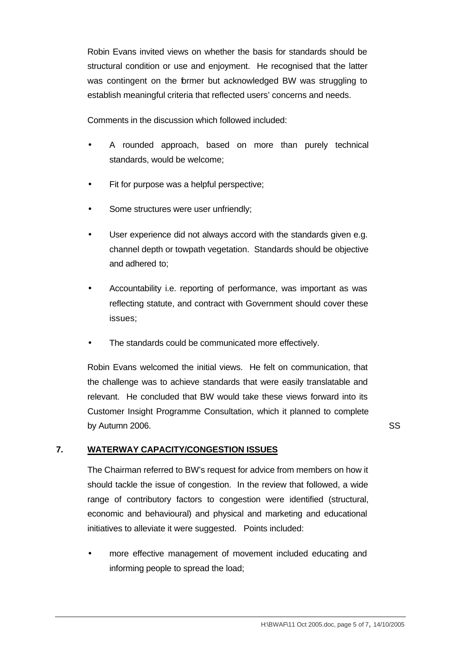Robin Evans invited views on whether the basis for standards should be structural condition or use and enjoyment. He recognised that the latter was contingent on the former but acknowledged BW was struggling to establish meaningful criteria that reflected users' concerns and needs.

Comments in the discussion which followed included:

- A rounded approach, based on more than purely technical standards, would be welcome;
- Fit for purpose was a helpful perspective;
- Some structures were user unfriendly;
- User experience did not always accord with the standards given e.g. channel depth or towpath vegetation. Standards should be objective and adhered to;
- Accountability i.e. reporting of performance, was important as was reflecting statute, and contract with Government should cover these issues;
- The standards could be communicated more effectively.

Robin Evans welcomed the initial views. He felt on communication, that the challenge was to achieve standards that were easily translatable and relevant. He concluded that BW would take these views forward into its Customer Insight Programme Consultation, which it planned to complete by Autumn 2006. SS

## **7. WATERWAY CAPACITY/CONGESTION ISSUES**

The Chairman referred to BW's request for advice from members on how it should tackle the issue of congestion. In the review that followed, a wide range of contributory factors to congestion were identified (structural, economic and behavioural) and physical and marketing and educational initiatives to alleviate it were suggested. Points included:

• more effective management of movement included educating and informing people to spread the load;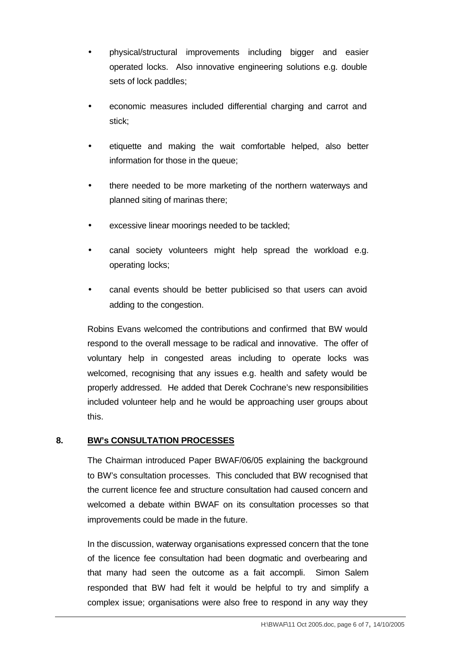- physical/structural improvements including bigger and easier operated locks. Also innovative engineering solutions e.g. double sets of lock paddles;
- economic measures included differential charging and carrot and stick;
- etiquette and making the wait comfortable helped, also better information for those in the queue;
- there needed to be more marketing of the northern waterways and planned siting of marinas there;
- excessive linear moorings needed to be tackled;
- canal society volunteers might help spread the workload e.g. operating locks;
- canal events should be better publicised so that users can avoid adding to the congestion.

Robins Evans welcomed the contributions and confirmed that BW would respond to the overall message to be radical and innovative. The offer of voluntary help in congested areas including to operate locks was welcomed, recognising that any issues e.g. health and safety would be properly addressed. He added that Derek Cochrane's new responsibilities included volunteer help and he would be approaching user groups about this.

# **8. BW's CONSULTATION PROCESSES**

The Chairman introduced Paper BWAF/06/05 explaining the background to BW's consultation processes. This concluded that BW recognised that the current licence fee and structure consultation had caused concern and welcomed a debate within BWAF on its consultation processes so that improvements could be made in the future.

In the discussion, waterway organisations expressed concern that the tone of the licence fee consultation had been dogmatic and overbearing and that many had seen the outcome as a fait accompli. Simon Salem responded that BW had felt it would be helpful to try and simplify a complex issue; organisations were also free to respond in any way they